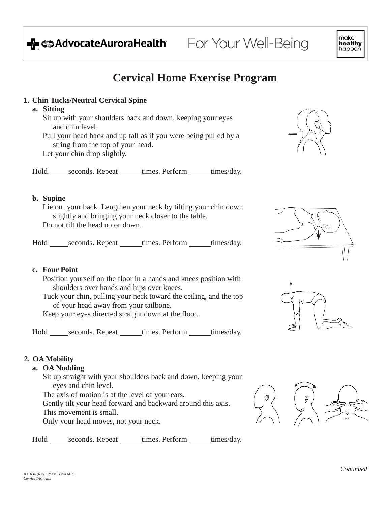# → coAdvocateAuroraHealth

# **Cervical Home Exercise Program**

For Your Well-Being

## **1. Chin Tucks/Neutral Cervical Spine**

## **a. Sitting**

Sit up with your shoulders back and down, keeping your eyes and chin level.

Pull your head back and up tall as if you were being pulled by a string from the top of your head.

Let your chin drop slightly.

Hold seconds. Repeat times. Perform times/day.

## **b. Supine**

Lie on your back. Lengthen your neck by tilting your chin down slightly and bringing your neck closer to the table. Do not tilt the head up or down.

Hold seconds. Repeat times. Perform times/day.

## **c. Four Point**

Position yourself on the floor in a hands and knees position with shoulders over hands and hips over knees.

Tuck your chin, pulling your neck toward the ceiling, and the top of your head away from your tailbone.

Keep your eyes directed straight down at the floor.

Hold seconds. Repeat times. Perform times/day.

# **2. OA Mobility**

## **a. OA Nodding**

Sit up straight with your shoulders back and down, keeping your eyes and chin level.

The axis of motion is at the level of your ears.

Gently tilt your head forward and backward around this axis.

This movement is small.

Only your head moves, not your neck.

Hold seconds. Repeat times. Perform times/day.











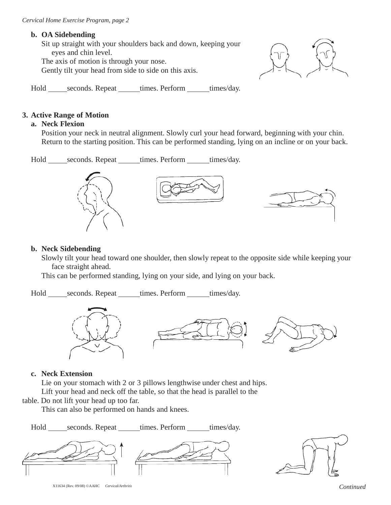#### **b. OA Sidebending**

Sit up straight with your shoulders back and down, keeping your eyes and chin level.

The axis of motion is through your nose.

Gently tilt your head from side to side on this axis.



Hold seconds. Repeat times. Perform times/day.

#### **3. Active Range of Motion**

#### **a. Neck Flexion**

Position your neck in neutral alignment. Slowly curl your head forward, beginning with your chin. Return to the starting position. This can be performed standing, lying on an incline or on your back.

Hold seconds. Repeat times. Perform times/day.

#### **b. Neck Sidebending**

Slowly tilt your head toward one shoulder, then slowly repeat to the opposite side while keeping your face straight ahead.

This can be performed standing, lying on your side, and lying on your back.

Hold seconds. Repeat times. Perform times/day.



#### **c. Neck Extension**

Lie on your stomach with 2 or 3 pillows lengthwise under chest and hips. Lift your head and neck off the table, so that the head is parallel to the

table. Do not lift your head up too far.

This can also be performed on hands and knees.

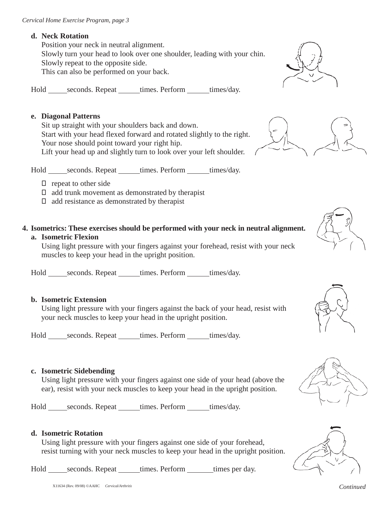## **d. Neck Rotation**

Position your neck in neutral alignment. Slowly turn your head to look over one shoulder, leading with your chin. Slowly repeat to the opposite side. This can also be performed on your back.

Hold seconds. Repeat \_\_\_\_\_\_\_ times. Perform \_\_\_\_\_\_\_\_ times/day.

## **e. Diagonal Patterns**

Sit up straight with your shoulders back and down. Start with your head flexed forward and rotated slightly to the right. Your nose should point toward your right hip. Lift your head up and slightly turn to look over your left shoulder.

Hold seconds. Repeat times. Perform times/day.

- $\Box$  repeat to other side
- $\Box$  add trunk movement as demonstrated by therapist
- $\Box$  add resistance as demonstrated by therapist
- **4. Isometrics: These exercises should be performed with your neck in neutral alignment.**

## **a. Isometric Flexion**

Using light pressure with your fingers against your forehead, resist with your neck muscles to keep your head in the upright position.

Hold seconds. Repeat times. Perform times/day.

## **b. Isometric Extension**

Using light pressure with your fingers against the back of your head, resist with your neck muscles to keep your head in the upright position.

Hold seconds. Repeat times. Perform times/day.

## **c. Isometric Sidebending**

Using light pressure with your fingers against one side of your head (above the ear), resist with your neck muscles to keep your head in the upright position.

Hold seconds. Repeat \_\_\_\_\_\_\_ times. Perform \_\_\_\_\_\_\_ times/day.

## **d. Isometric Rotation**

Using light pressure with your fingers against one side of your forehead, resist turning with your neck muscles to keep your head in the upright position.











Hold seconds. Repeat times. Perform times per day.